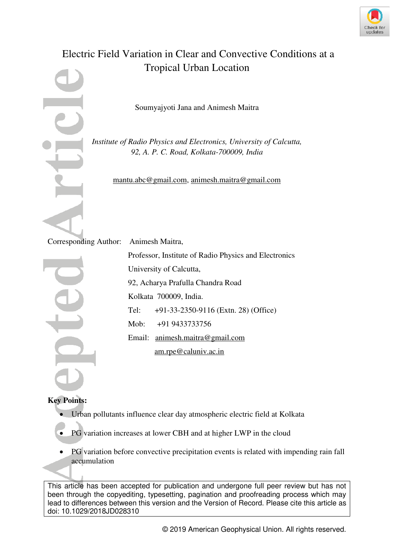

# Electric Field Variation in Clear and Convective Conditions at a Tropical Urban Location

Soumyajyoti Jana and Animesh Maitra

*Institute of Radio Physics and Electronics, University of Calcutta, 92, A. P. C. Road, Kolkata-700009, India* 

[mantu.abc@gmail.com,](mailto:mantu.abc@gmail.com) [animesh.maitra@gmail.com](mailto:animesh.maitra@gmail.com)

Corresponding Author: Animesh Maitra,

Professor, Institute of Radio Physics and Electronics University of Calcutta, 92, Acharya Prafulla Chandra Road Kolkata 700009, India. Tel: +91-33-2350-9116 (Extn. 28) (Office) Mob: +91 9433733756 Email: [animesh.maitra@gmail.com](mailto:animesh.maitra@gmail.com) [am.rpe@caluniv.ac.in](mailto:am.rpe@caluniv.ac.in) 

# **Key Points:**

- Urban pollutants influence clear day atmospheric electric field at Kolkata
- PG variation increases at lower CBH and at higher LWP in the cloud
- PG variation before convective precipitation events is related with impending rain fall accumulation

This article has been accepted for publication and undergone full peer review but has not been through the copyediting, typesetting, pagination and proofreading process which may lead to differences between this version and the Version of Record. Please cite this article as doi: 10.1029/2018JD028310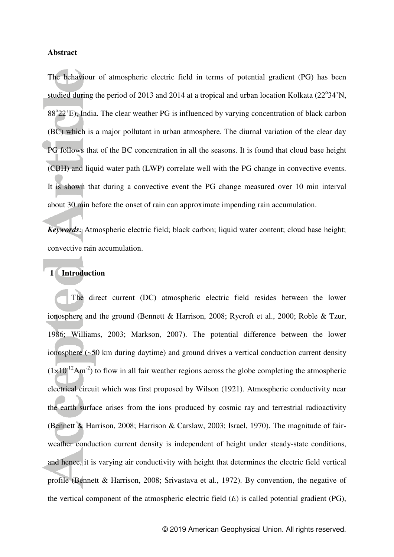#### **Abstract**

The behaviour of atmospheric electric field in terms of potential gradient (PG) has been studied during the period of 2013 and 2014 at a tropical and urban location Kolkata (22°34'N, 88°22'E), India. The clear weather PG is influenced by varying concentration of black carbon (BC) which is a major pollutant in urban atmosphere. The diurnal variation of the clear day PG follows that of the BC concentration in all the seasons. It is found that cloud base height (CBH) and liquid water path (LWP) correlate well with the PG change in convective events. It is shown that during a convective event the PG change measured over 10 min interval about 30 min before the onset of rain can approximate impending rain accumulation.

*Keywords:* Atmospheric electric field; black carbon; liquid water content; cloud base height; convective rain accumulation.

#### **1 Introduction**

 The direct current (DC) atmospheric electric field resides between the lower ionosphere and the ground (Bennett & Harrison, 2008; Rycroft et al., 2000; Roble & Tzur, 1986; Williams, 2003; Markson, 2007). The potential difference between the lower ionosphere (~50 km during daytime) and ground drives a vertical conduction current density  $(1\times10^{12}Am^{-2})$  to flow in all fair weather regions across the globe completing the atmospheric electrical circuit which was first proposed by Wilson (1921). Atmospheric conductivity near the earth surface arises from the ions produced by cosmic ray and terrestrial radioactivity (Bennett & Harrison, 2008; Harrison & Carslaw, 2003; Israel, 1970). The magnitude of fairweather conduction current density is independent of height under steady-state conditions, and hence, it is varying air conductivity with height that determines the electric field vertical profile (Bennett & Harrison, 2008; Srivastava et al., 1972). By convention, the negative of the vertical component of the atmospheric electric field (*E*) is called potential gradient (PG),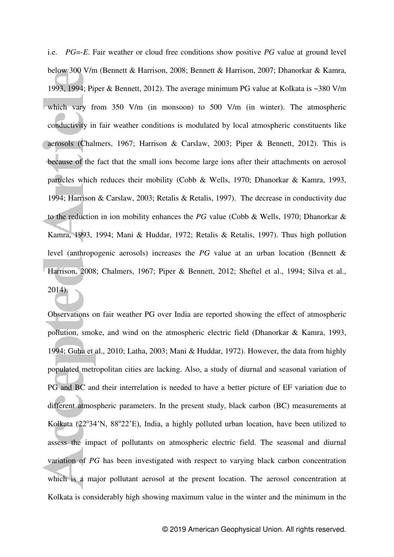i.e. *PG*=*-E*. Fair weather or cloud free conditions show positive *PG* value at ground level below 300 V/m (Bennett & Harrison, 2008; Bennett & Harrison, 2007; Dhanorkar & Kamra, 1993, 1994; Piper & Bennett, 2012). The average minimum PG value at Kolkata is ~380 V/m which vary from 350 V/m (in monsoon) to 500 V/m (in winter). The atmospheric conductivity in fair weather conditions is modulated by local atmospheric constituents like aerosols (Chalmers, 1967; Harrison & Carslaw, 2003; Piper & Bennett, 2012). This is because of the fact that the small ions become large ions after their attachments on aerosol particles which reduces their mobility (Cobb & Wells, 1970; Dhanorkar & Kamra, 1993, 1994; Harrison & Carslaw, 2003; Retalis & Retalis, 1997). The decrease in conductivity due to the reduction in ion mobility enhances the *PG* value (Cobb & Wells, 1970; Dhanorkar & Kamra, 1993, 1994; Mani & Huddar, 1972; Retalis & Retalis, 1997). Thus high pollution level (anthropogenic aerosols) increases the *PG* value at an urban location (Bennett & Harrison, 2008; Chalmers, 1967; Piper & Bennett, 2012; Sheftel et al., 1994; Silva et al., 2014).

Observations on fair weather PG over India are reported showing the effect of atmospheric pollution, smoke, and wind on the atmospheric electric field (Dhanorkar & Kamra, 1993, 1994; Guha et al., 2010; Latha, 2003; Mani & Huddar, 1972). However, the data from highly populated metropolitan cities are lacking. Also, a study of diurnal and seasonal variation of PG and BC and their interrelation is needed to have a better picture of EF variation due to different atmospheric parameters. In the present study, black carbon (BC) measurements at Kolkata (22°34'N, 88°22'E), India, a highly polluted urban location, have been utilized to assess the impact of pollutants on atmospheric electric field. The seasonal and diurnal variation of *PG* has been investigated with respect to varying black carbon concentration which is a major pollutant aerosol at the present location. The aerosol concentration at Kolkata is considerably high showing maximum value in the winter and the minimum in the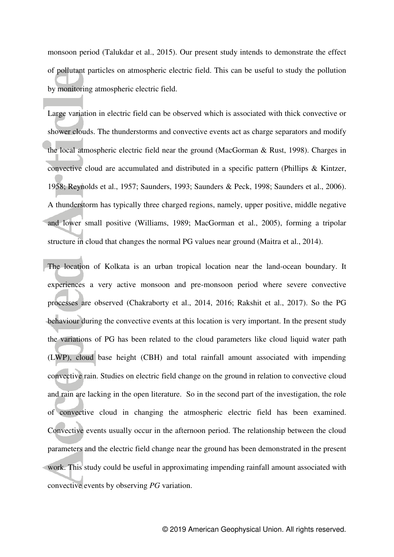monsoon period (Talukdar et al., 2015). Our present study intends to demonstrate the effect of pollutant particles on atmospheric electric field. This can be useful to study the pollution by monitoring atmospheric electric field.

Large variation in electric field can be observed which is associated with thick convective or shower clouds. The thunderstorms and convective events act as charge separators and modify the local atmospheric electric field near the ground (MacGorman & Rust, 1998). Charges in convective cloud are accumulated and distributed in a specific pattern (Phillips & Kintzer, 1958; Reynolds et al., 1957; Saunders, 1993; Saunders & Peck, 1998; Saunders et al., 2006). A thunderstorm has typically three charged regions, namely, upper positive, middle negative and lower small positive (Williams, 1989; MacGorman et al., 2005), forming a tripolar structure in cloud that changes the normal PG values near ground (Maitra et al., 2014).

The location of Kolkata is an urban tropical location near the land-ocean boundary. It experiences a very active monsoon and pre-monsoon period where severe convective processes are observed (Chakraborty et al., 2014, 2016; Rakshit et al., 2017). So the PG behaviour during the convective events at this location is very important. In the present study the variations of PG has been related to the cloud parameters like cloud liquid water path (LWP), cloud base height (CBH) and total rainfall amount associated with impending convective rain. Studies on electric field change on the ground in relation to convective cloud and rain are lacking in the open literature. So in the second part of the investigation, the role of convective cloud in changing the atmospheric electric field has been examined. Convective events usually occur in the afternoon period. The relationship between the cloud parameters and the electric field change near the ground has been demonstrated in the present work. This study could be useful in approximating impending rainfall amount associated with convective events by observing *PG* variation.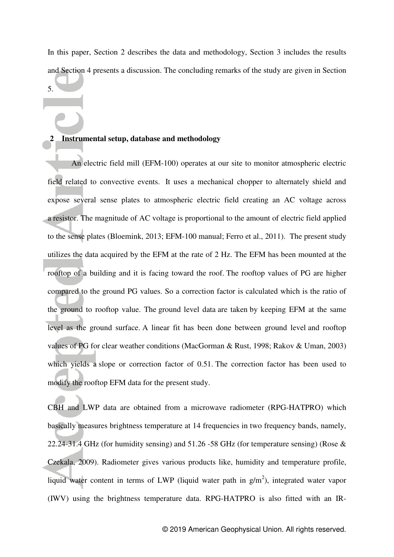In this paper, Section 2 describes the data and methodology, Section 3 includes the results and Section 4 presents a discussion. The concluding remarks of the study are given in Section

5.

# **2 Instrumental setup, database and methodology**

An electric field mill (EFM-100) operates at our site to monitor atmospheric electric field related to convective events. It uses a mechanical chopper to alternately shield and expose several sense plates to atmospheric electric field creating an AC voltage across a resistor. The magnitude of AC voltage is proportional to the amount of electric field applied to the sense plates (Bloemink, 2013; EFM-100 manual; Ferro et al., 2011). The present study utilizes the data acquired by the EFM at the rate of 2 Hz. The EFM has been mounted at the rooftop of a building and it is facing toward the roof. The rooftop values of PG are higher compared to the ground PG values. So a correction factor is calculated which is the ratio of the ground to rooftop value. The ground level data are taken by keeping EFM at the same level as the ground surface. A linear fit has been done between ground level and rooftop values of PG for clear weather conditions (MacGorman & Rust, 1998; Rakov & Uman, 2003) which yields a slope or correction factor of 0.51. The correction factor has been used to modify the rooftop EFM data for the present study.

CBH and LWP data are obtained from a microwave radiometer (RPG-HATPRO) which basically measures brightness temperature at 14 frequencies in two frequency bands, namely, 22.24-31.4 GHz (for humidity sensing) and 51.26 -58 GHz (for temperature sensing) (Rose & Czekala, 2009). Radiometer gives various products like, humidity and temperature profile, liquid water content in terms of LWP (liquid water path in  $g/m<sup>2</sup>$ ), integrated water vapor (IWV) using the brightness temperature data. RPG-HATPRO is also fitted with an IR-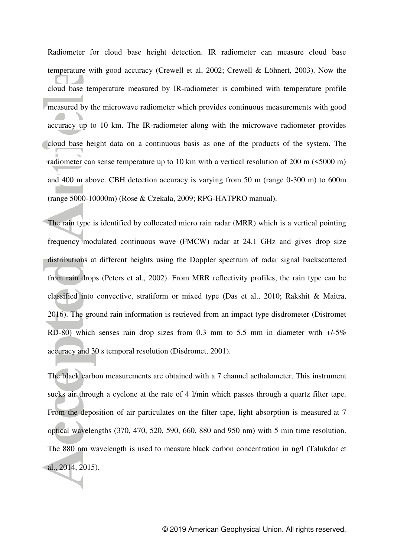Radiometer for cloud base height detection. IR radiometer can measure cloud base temperature with good accuracy (Crewell et al, 2002; Crewell & Löhnert, 2003). Now the cloud base temperature measured by IR-radiometer is combined with temperature profile measured by the microwave radiometer which provides continuous measurements with good accuracy up to 10 km. The IR-radiometer along with the microwave radiometer provides cloud base height data on a continuous basis as one of the products of the system. The radiometer can sense temperature up to 10 km with a vertical resolution of 200 m (<5000 m) and 400 m above. CBH detection accuracy is varying from 50 m (range 0-300 m) to 600m (range 5000-10000m) (Rose & Czekala, 2009; RPG-HATPRO manual).

The rain type is identified by collocated micro rain radar (MRR) which is a vertical pointing frequency modulated continuous wave (FMCW) radar at 24.1 GHz and gives drop size distributions at different heights using the Doppler spectrum of radar signal backscattered from rain drops (Peters et al., 2002). From MRR reflectivity profiles, the rain type can be classified into convective, stratiform or mixed type (Das et al., 2010; Rakshit & Maitra, 2016). The ground rain information is retrieved from an impact type disdrometer (Distromet RD-80) which senses rain drop sizes from 0.3 mm to 5.5 mm in diameter with +/-5% accuracy and 30 s temporal resolution (Disdromet, 2001).

The black carbon measurements are obtained with a 7 channel aethalometer. This instrument sucks air through a cyclone at the rate of 4 l/min which passes through a quartz filter tape. From the deposition of air particulates on the filter tape, light absorption is measured at 7 optical wavelengths (370, 470, 520, 590, 660, 880 and 950 nm) with 5 min time resolution. The 880 nm wavelength is used to measure black carbon concentration in ng/l (Talukdar et al., 2014, 2015).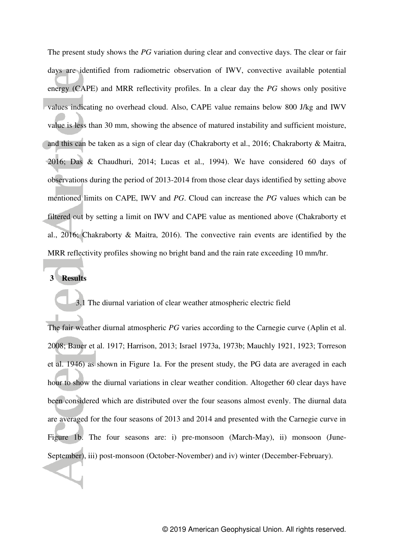The present study shows the *PG* variation during clear and convective days. The clear or fair days are identified from radiometric observation of IWV, convective available potential energy (CAPE) and MRR reflectivity profiles. In a clear day the *PG* shows only positive values indicating no overhead cloud. Also, CAPE value remains below 800 J/kg and IWV value is less than 30 mm, showing the absence of matured instability and sufficient moisture, and this can be taken as a sign of clear day (Chakraborty et al., 2016; Chakraborty & Maitra, 2016; Das & Chaudhuri, 2014; Lucas et al., 1994). We have considered 60 days of observations during the period of 2013-2014 from those clear days identified by setting above mentioned limits on CAPE, IWV and *PG*. Cloud can increase the *PG* values which can be filtered out by setting a limit on IWV and CAPE value as mentioned above (Chakraborty et al., 2016; Chakraborty & Maitra, 2016). The convective rain events are identified by the MRR reflectivity profiles showing no bright band and the rain rate exceeding 10 mm/hr.

# **3 Results**

#### 3.1 The diurnal variation of clear weather atmospheric electric field

The fair weather diurnal atmospheric *PG* varies according to the Carnegie curve (Aplin et al. 2008; Bauer et al. 1917; Harrison, 2013; Israel 1973a, 1973b; Mauchly 1921, 1923; Torreson et al. 1946) as shown in Figure 1a. For the present study, the PG data are averaged in each hour to show the diurnal variations in clear weather condition. Altogether 60 clear days have been considered which are distributed over the four seasons almost evenly. The diurnal data are averaged for the four seasons of 2013 and 2014 and presented with the Carnegie curve in Figure 1b. The four seasons are: i) pre-monsoon (March-May), ii) monsoon (June-September), iii) post-monsoon (October-November) and iv) winter (December-February).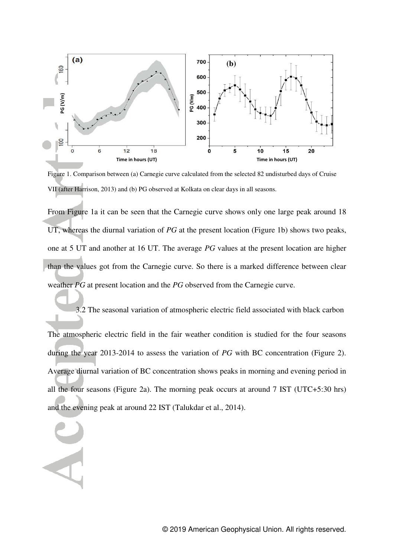

Figure 1. Comparison between (a) Carnegie curve calculated from the selected 82 undisturbed days of Cruise VII (after Harrison, 2013) and (b) PG observed at Kolkata on clear days in all seasons.

From Figure 1a it can be seen that the Carnegie curve shows only one large peak around 18 UT, whereas the diurnal variation of *PG* at the present location (Figure 1b) shows two peaks, one at 5 UT and another at 16 UT. The average *PG* values at the present location are higher than the values got from the Carnegie curve. So there is a marked difference between clear weather *PG* at present location and the *PG* observed from the Carnegie curve.

3.2 The seasonal variation of atmospheric electric field associated with black carbon The atmospheric electric field in the fair weather condition is studied for the four seasons during the year 2013-2014 to assess the variation of *PG* with BC concentration (Figure 2). Average diurnal variation of BC concentration shows peaks in morning and evening period in all the four seasons (Figure 2a). The morning peak occurs at around 7 IST (UTC+5:30 hrs) and the evening peak at around 22 IST (Talukdar et al., 2014).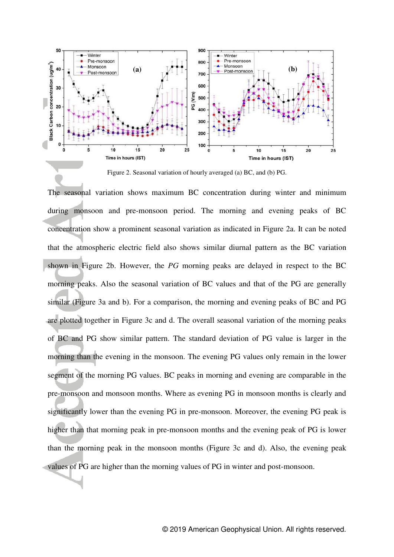

Figure 2. Seasonal variation of hourly averaged (a) BC, and (b) PG.

The seasonal variation shows maximum BC concentration during winter and minimum during monsoon and pre-monsoon period. The morning and evening peaks of BC concentration show a prominent seasonal variation as indicated in Figure 2a. It can be noted that the atmospheric electric field also shows similar diurnal pattern as the BC variation shown in Figure 2b. However, the *PG* morning peaks are delayed in respect to the BC morning peaks. Also the seasonal variation of BC values and that of the PG are generally similar (Figure 3a and b). For a comparison, the morning and evening peaks of BC and PG are plotted together in Figure 3c and d. The overall seasonal variation of the morning peaks of BC and PG show similar pattern. The standard deviation of PG value is larger in the morning than the evening in the monsoon. The evening PG values only remain in the lower segment of the morning PG values. BC peaks in morning and evening are comparable in the pre-monsoon and monsoon months. Where as evening PG in monsoon months is clearly and significantly lower than the evening PG in pre-monsoon. Moreover, the evening PG peak is higher than that morning peak in pre-monsoon months and the evening peak of PG is lower than the morning peak in the monsoon months (Figure 3c and d). Also, the evening peak values of PG are higher than the morning values of PG in winter and post-monsoon.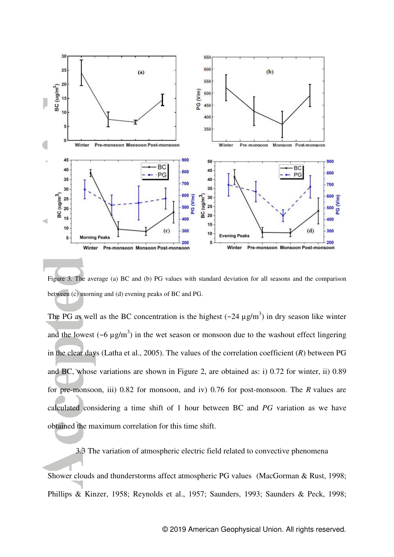

Figure 3. The average (a) BC and (b) PG values with standard deviation for all seasons and the comparison between (c) morning and (d) evening peaks of BC and PG.

The PG as well as the BC concentration is the highest  $(\sim 24 \mu g/m^3)$  in dry season like winter and the lowest  $({\sim}6 \mu g/m^3)$  in the wet season or monsoon due to the washout effect lingering in the clear days (Latha et al., 2005). The values of the correlation coefficient (*R*) between PG and BC, whose variations are shown in Figure 2, are obtained as: i) 0.72 for winter, ii) 0.89 for pre-monsoon, iii) 0.82 for monsoon, and iv) 0.76 for post-monsoon. The *R* values are calculated considering a time shift of 1 hour between BC and *PG* variation as we have obtained the maximum correlation for this time shift.

3.3 The variation of atmospheric electric field related to convective phenomena

Shower clouds and thunderstorms affect atmospheric PG values (MacGorman & Rust, 1998; Phillips & Kinzer, 1958; Reynolds et al., 1957; Saunders, 1993; Saunders & Peck, 1998;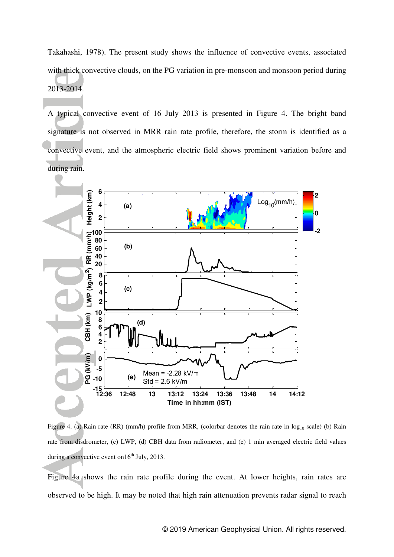Takahashi, 1978). The present study shows the influence of convective events, associated with thick convective clouds, on the PG variation in pre-monsoon and monsoon period during 2013-2014.

A typical convective event of 16 July 2013 is presented in Figure 4. The bright band signature is not observed in MRR rain rate profile, therefore, the storm is identified as a convective event, and the atmospheric electric field shows prominent variation before and during rain.



Figure 4. (a) Rain rate (RR) (mm/h) profile from MRR, (colorbar denotes the rain rate in  $log_{10}$  scale) (b) Rain rate from disdrometer, (c) LWP, (d) CBH data from radiometer, and (e) 1 min averaged electric field values during a convective event on  $16<sup>th</sup>$  July, 2013.

Figure 4a shows the rain rate profile during the event. At lower heights, rain rates are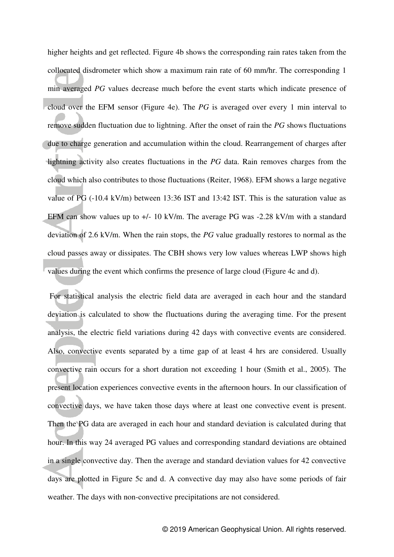higher heights and get reflected. Figure 4b shows the corresponding rain rates taken from the collocated disdrometer which show a maximum rain rate of 60 mm/hr. The corresponding 1 min averaged *PG* values decrease much before the event starts which indicate presence of cloud over the EFM sensor (Figure 4e). The *PG* is averaged over every 1 min interval to remove sudden fluctuation due to lightning. After the onset of rain the *PG* shows fluctuations due to charge generation and accumulation within the cloud. Rearrangement of charges after lightning activity also creates fluctuations in the *PG* data. Rain removes charges from the cloud which also contributes to those fluctuations (Reiter, 1968). EFM shows a large negative value of PG (-10.4 kV/m) between 13:36 IST and 13:42 IST. This is the saturation value as EFM can show values up to  $+/- 10 \text{ kV/m}$ . The average PG was  $-2.28 \text{ kV/m}$  with a standard deviation of 2.6 kV/m. When the rain stops, the *PG* value gradually restores to normal as the cloud passes away or dissipates. The CBH shows very low values whereas LWP shows high values during the event which confirms the presence of large cloud (Figure 4c and d).

 For statistical analysis the electric field data are averaged in each hour and the standard deviation is calculated to show the fluctuations during the averaging time. For the present analysis, the electric field variations during 42 days with convective events are considered. Also, convective events separated by a time gap of at least 4 hrs are considered. Usually convective rain occurs for a short duration not exceeding 1 hour (Smith et al., 2005). The present location experiences convective events in the afternoon hours. In our classification of convective days, we have taken those days where at least one convective event is present. Then the PG data are averaged in each hour and standard deviation is calculated during that hour. In this way 24 averaged PG values and corresponding standard deviations are obtained in a single convective day. Then the average and standard deviation values for 42 convective days are plotted in Figure 5c and d. A convective day may also have some periods of fair weather. The days with non-convective precipitations are not considered.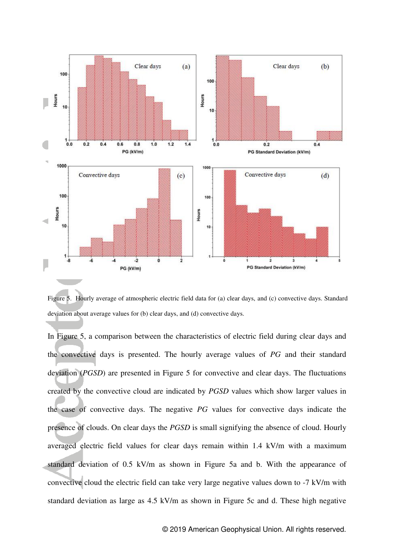

Figure 5. Hourly average of atmospheric electric field data for (a) clear days, and (c) convective days. Standard deviation about average values for (b) clear days, and (d) convective days.

In Figure 5, a comparison between the characteristics of electric field during clear days and the convective days is presented. The hourly average values of *PG* and their standard deviation (*PGSD*) are presented in Figure 5 for convective and clear days. The fluctuations created by the convective cloud are indicated by *PGSD* values which show larger values in the case of convective days. The negative *PG* values for convective days indicate the presence of clouds. On clear days the *PGSD* is small signifying the absence of cloud. Hourly averaged electric field values for clear days remain within 1.4 kV/m with a maximum standard deviation of 0.5 kV/m as shown in Figure 5a and b. With the appearance of convective cloud the electric field can take very large negative values down to -7 kV/m with standard deviation as large as 4.5 kV/m as shown in Figure 5c and d. These high negative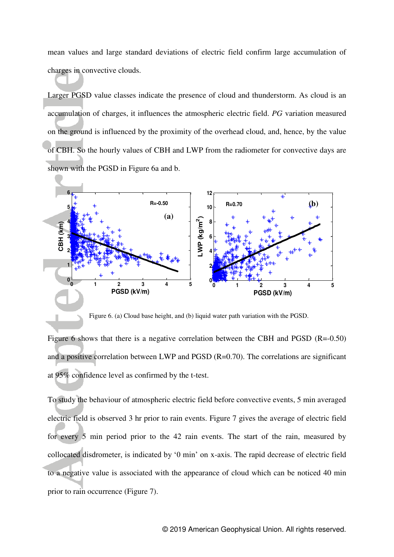mean values and large standard deviations of electric field confirm large accumulation of charges in convective clouds.

Larger PGSD value classes indicate the presence of cloud and thunderstorm. As cloud is an accumulation of charges, it influences the atmospheric electric field. *PG* variation measured on the ground is influenced by the proximity of the overhead cloud, and, hence, by the value of CBH. So the hourly values of CBH and LWP from the radiometer for convective days are shown with the PGSD in Figure 6a and b.



Figure 6. (a) Cloud base height, and (b) liquid water path variation with the PGSD.

Figure 6 shows that there is a negative correlation between the CBH and PGSD (R=-0.50) and a positive correlation between LWP and PGSD (R=0.70). The correlations are significant at 95% confidence level as confirmed by the t-test.

To study the behaviour of atmospheric electric field before convective events, 5 min averaged electric field is observed 3 hr prior to rain events. Figure 7 gives the average of electric field for every 5 min period prior to the 42 rain events. The start of the rain, measured by collocated disdrometer, is indicated by '0 min' on x-axis. The rapid decrease of electric field to a negative value is associated with the appearance of cloud which can be noticed 40 min prior to rain occurrence (Figure 7).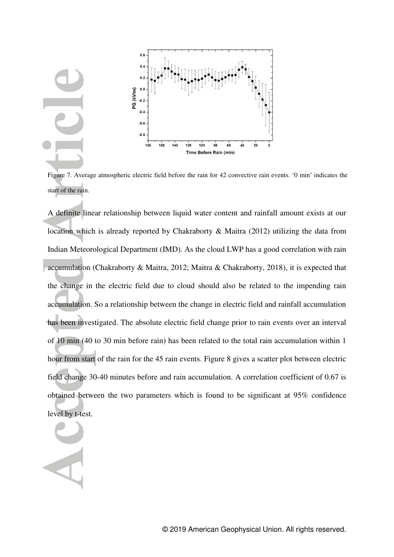

Figure 7. Average atmospheric electric field before the rain for 42 convective rain events. '0 min' indicates the start of the rain.

A definite linear relationship between liquid water content and rainfall amount exists at our location which is already reported by Chakraborty & Maitra (2012) utilizing the data from Indian Meteorological Department (IMD). As the cloud LWP has a good correlation with rain accumulation (Chakraborty & Maitra, 2012; Maitra & Chakraborty, 2018), it is expected that the change in the electric field due to cloud should also be related to the impending rain accumulation. So a relationship between the change in electric field and rainfall accumulation has been investigated. The absolute electric field change prior to rain events over an interval of 10 min (40 to 30 min before rain) has been related to the total rain accumulation within 1 hour from start of the rain for the 45 rain events. Figure 8 gives a scatter plot between electric field change 30-40 minutes before and rain accumulation. A correlation coefficient of 0.67 is obtained between the two parameters which is found to be significant at 95% confidence level by t-test.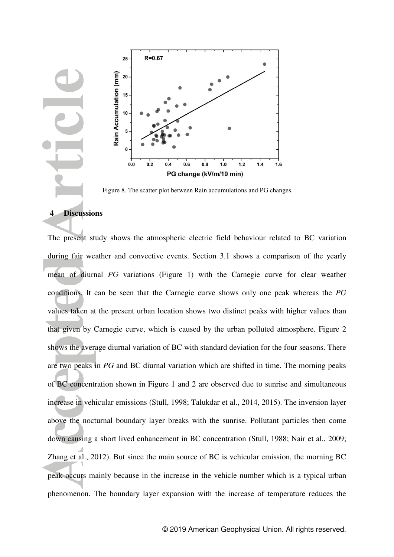

Figure 8. The scatter plot between Rain accumulations and PG changes.

#### **4 Discussions**

The present study shows the atmospheric electric field behaviour related to BC variation during fair weather and convective events. Section 3.1 shows a comparison of the yearly mean of diurnal *PG* variations (Figure 1) with the Carnegie curve for clear weather conditions. It can be seen that the Carnegie curve shows only one peak whereas the *PG* values taken at the present urban location shows two distinct peaks with higher values than that given by Carnegie curve, which is caused by the urban polluted atmosphere. Figure 2 shows the average diurnal variation of BC with standard deviation for the four seasons. There are two peaks in *PG* and BC diurnal variation which are shifted in time. The morning peaks of BC concentration shown in Figure 1 and 2 are observed due to sunrise and simultaneous increase in vehicular emissions (Stull, 1998; Talukdar et al., 2014, 2015). The inversion layer above the nocturnal boundary layer breaks with the sunrise. Pollutant particles then come down causing a short lived enhancement in BC concentration (Stull, 1988; Nair et al., 2009; Zhang et al., 2012). But since the main source of BC is vehicular emission, the morning BC peak occurs mainly because in the increase in the vehicle number which is a typical urban phenomenon. The boundary layer expansion with the increase of temperature reduces the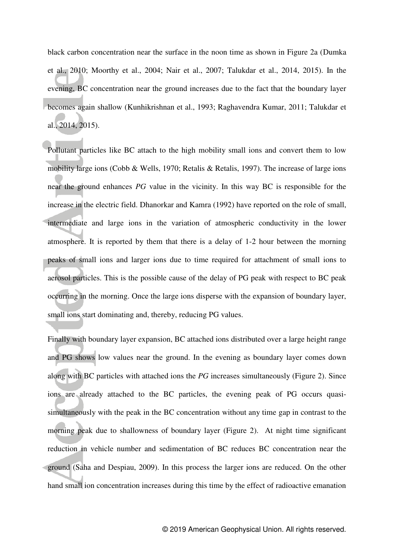black carbon concentration near the surface in the noon time as shown in Figure 2a (Dumka et al., 2010; Moorthy et al., 2004; Nair et al., 2007; Talukdar et al., 2014, 2015). In the evening, BC concentration near the ground increases due to the fact that the boundary layer becomes again shallow (Kunhikrishnan et al., 1993; Raghavendra Kumar, 2011; Talukdar et al., 2014, 2015).

Pollutant particles like BC attach to the high mobility small ions and convert them to low mobility large ions (Cobb & Wells, 1970; Retalis & Retalis, 1997). The increase of large ions near the ground enhances *PG* value in the vicinity. In this way BC is responsible for the increase in the electric field. Dhanorkar and Kamra (1992) have reported on the role of small, intermediate and large ions in the variation of atmospheric conductivity in the lower atmosphere. It is reported by them that there is a delay of 1-2 hour between the morning peaks of small ions and larger ions due to time required for attachment of small ions to aerosol particles. This is the possible cause of the delay of PG peak with respect to BC peak occurring in the morning. Once the large ions disperse with the expansion of boundary layer, small ions start dominating and, thereby, reducing PG values.

Finally with boundary layer expansion, BC attached ions distributed over a large height range and PG shows low values near the ground. In the evening as boundary layer comes down along with BC particles with attached ions the *PG* increases simultaneously (Figure 2). Since ions are already attached to the BC particles, the evening peak of PG occurs quasisimultaneously with the peak in the BC concentration without any time gap in contrast to the morning peak due to shallowness of boundary layer (Figure 2). At night time significant reduction in vehicle number and sedimentation of BC reduces BC concentration near the ground (Saha and Despiau, 2009). In this process the larger ions are reduced. On the other hand small ion concentration increases during this time by the effect of radioactive emanation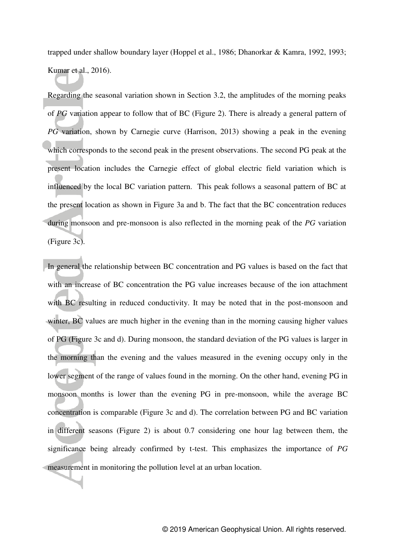trapped under shallow boundary layer (Hoppel et al., 1986; Dhanorkar & Kamra, 1992, 1993; Kumar et al., 2016).

Regarding the seasonal variation shown in Section 3.2, the amplitudes of the morning peaks of *PG* variation appear to follow that of BC (Figure 2). There is already a general pattern of *PG* variation, shown by Carnegie curve (Harrison, 2013) showing a peak in the evening which corresponds to the second peak in the present observations. The second PG peak at the present location includes the Carnegie effect of global electric field variation which is influenced by the local BC variation pattern. This peak follows a seasonal pattern of BC at the present location as shown in Figure 3a and b. The fact that the BC concentration reduces during monsoon and pre-monsoon is also reflected in the morning peak of the *PG* variation (Figure 3c).

In general the relationship between BC concentration and PG values is based on the fact that with an increase of BC concentration the PG value increases because of the ion attachment with BC resulting in reduced conductivity. It may be noted that in the post-monsoon and winter, BC values are much higher in the evening than in the morning causing higher values of PG (Figure 3c and d). During monsoon, the standard deviation of the PG values is larger in the morning than the evening and the values measured in the evening occupy only in the lower segment of the range of values found in the morning. On the other hand, evening PG in monsoon months is lower than the evening PG in pre-monsoon, while the average BC concentration is comparable (Figure 3c and d). The correlation between PG and BC variation in different seasons (Figure 2) is about 0.7 considering one hour lag between them, the significance being already confirmed by t-test. This emphasizes the importance of *PG* measurement in monitoring the pollution level at an urban location.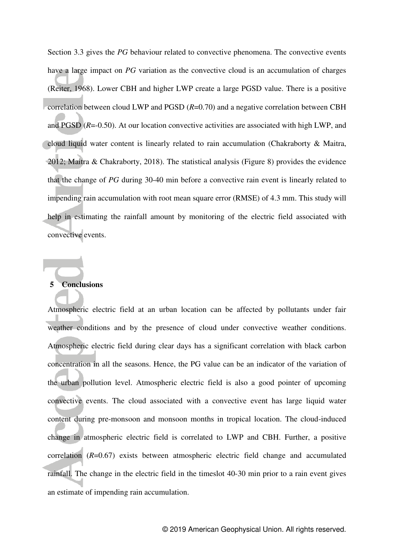Section 3.3 gives the *PG* behaviour related to convective phenomena. The convective events have a large impact on *PG* variation as the convective cloud is an accumulation of charges (Reiter, 1968). Lower CBH and higher LWP create a large PGSD value. There is a positive correlation between cloud LWP and PGSD (*R*=0.70) and a negative correlation between CBH and PGSD (*R*=-0.50). At our location convective activities are associated with high LWP, and cloud liquid water content is linearly related to rain accumulation (Chakraborty & Maitra, 2012; Maitra & Chakraborty, 2018). The statistical analysis (Figure 8) provides the evidence that the change of *PG* during 30-40 min before a convective rain event is linearly related to impending rain accumulation with root mean square error (RMSE) of 4.3 mm. This study will help in estimating the rainfall amount by monitoring of the electric field associated with convective events.

#### **5 Conclusions**

Atmospheric electric field at an urban location can be affected by pollutants under fair weather conditions and by the presence of cloud under convective weather conditions. Atmospheric electric field during clear days has a significant correlation with black carbon concentration in all the seasons. Hence, the PG value can be an indicator of the variation of the urban pollution level. Atmospheric electric field is also a good pointer of upcoming convective events. The cloud associated with a convective event has large liquid water content during pre-monsoon and monsoon months in tropical location. The cloud-induced change in atmospheric electric field is correlated to LWP and CBH. Further, a positive correlation (*R*=0.67) exists between atmospheric electric field change and accumulated rainfall. The change in the electric field in the timeslot 40-30 min prior to a rain event gives an estimate of impending rain accumulation.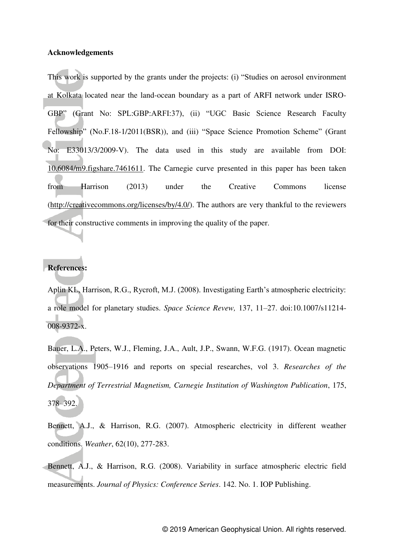#### **Acknowledgements**

This work is supported by the grants under the projects: (i) "Studies on aerosol environment at Kolkata located near the land-ocean boundary as a part of ARFI network under ISRO-GBP" (Grant No: SPL:GBP:ARFI:37), (ii) "UGC Basic Science Research Faculty Fellowship" (No.F.18-1/2011(BSR)), and (iii) "Space Science Promotion Scheme" (Grant No: E33013/3/2009-V). The data used in this study are available from DOI: [10.6084/m9.figshare.7461611.](https://doi.org/10.6084/m9.figshare.7461611) The Carnegie curve presented in this paper has been taken from Harrison (2013) under the Creative Commons license [\(http://creativecommons.org/licenses/by/4.0/\)](http://creativecommons.org/licenses/by/4.0/). The authors are very thankful to the reviewers for their constructive comments in improving the quality of the paper.

### **References:**

Aplin KL, Harrison, R.G., Rycroft, M.J. (2008). Investigating Earth's atmospheric electricity: a role model for planetary studies. *Space Science Revew,* 137, 11–27. doi:10.1007/s11214- 008-9372-x.

Bauer, L.A., Peters, W.J., Fleming, J.A., Ault, J.P., Swann, W.F.G. (1917). Ocean magnetic observations 1905–1916 and reports on special researches, vol 3. *Researches of the Department of Terrestrial Magnetism, Carnegie Institution of Washington Publication*, 175, 378–392.

Bennett, A.J., & Harrison, R.G. (2007). Atmospheric electricity in different weather conditions. *Weather*, 62(10), 277-283.

Bennett, A.J., & Harrison, R.G. (2008). Variability in surface atmospheric electric field measurements. *Journal of Physics: Conference Series*. 142. No. 1. IOP Publishing.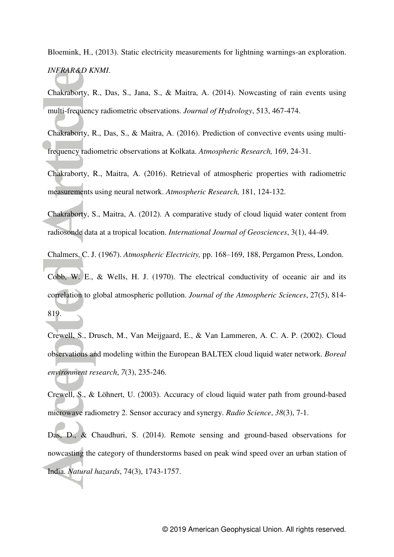Bloemink, H., (2013). Static electricity measurements for lightning warnings-an exploration. *INFRAR&D KNMI*.

Chakraborty, R., Das, S., Jana, S., & Maitra, A. (2014). Nowcasting of rain events using multi-frequency radiometric observations. *Journal of Hydrology*, 513, 467-474.

Chakraborty, R., Das, S., & Maitra, A. (2016). [Prediction of convective events using multi](https://scholar.google.co.in/scholar?oi=bibs&cluster=15890757788910588946&btnI=1&hl=en)[frequency radiometric observations at Kolkata.](https://scholar.google.co.in/scholar?oi=bibs&cluster=15890757788910588946&btnI=1&hl=en) *Atmospheric Research,* 169, 24-31.

Chakraborty, R., Maitra, A. (2016). [Retrieval of atmospheric properties with radiometric](https://scholar.google.co.in/citations?view_op=view_citation&hl=en&user=bWBUAHAAAAAJ&citation_for_view=bWBUAHAAAAAJ:qUcmZB5y_30C)  [measurements using neural network.](https://scholar.google.co.in/citations?view_op=view_citation&hl=en&user=bWBUAHAAAAAJ&citation_for_view=bWBUAHAAAAAJ:qUcmZB5y_30C) *Atmospheric Research,* 181, 124-132.

Chakraborty, S., Maitra, A. (2012). A comparative study of cloud liquid water content from radiosonde data at a tropical location. *International Journal of Geosciences*, 3(1), 44-49.

Chalmers, C. J. (1967). *Atmospheric Electricity,* pp. 168–169, 188, Pergamon Press, London.

Cobb, W. E., & Wells, H. J. (1970). The electrical conductivity of oceanic air and its correlation to global atmospheric pollution. *Journal of the Atmospheric Sciences*, 27(5), 814- 819.

Crewell, S., Drusch, M., Van Meijgaard, E., & Van Lammeren, A. C. A. P. (2002). Cloud observations and modeling within the European BALTEX cloud liquid water network. *Boreal environment research*, *7*(3), 235-246.

Crewell, S., & Löhnert, U. (2003). Accuracy of cloud liquid water path from ground-based microwave radiometry 2. Sensor accuracy and synergy. *Radio Science*, *38*(3), 7-1.

Das, D., & Chaudhuri, S. (2014). Remote sensing and ground-based observations for nowcasting the category of thunderstorms based on peak wind speed over an urban station of India. *Natural hazards*, 74(3), 1743-1757.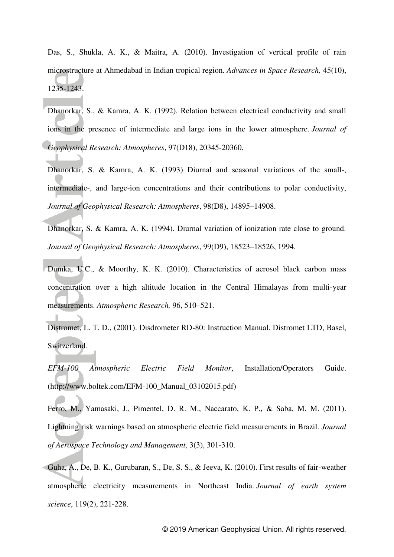Das, S., Shukla, A. K., & Maitra, A. (2010). Investigation of vertical profile of rain microstructure at Ahmedabad in Indian tropical region. *Advances in Space Research,* 45(10), 1235-1243.

Dhanorkar, S., & Kamra, A. K. (1992). Relation between electrical conductivity and small ions in the presence of intermediate and large ions in the lower atmosphere. *Journal of Geophysical Research: Atmospheres*, 97(D18), 20345-20360.

Dhanorkar, S. & Kamra, A. K. (1993) Diurnal and seasonal variations of the small-, intermediate-, and large-ion concentrations and their contributions to polar conductivity, *Journal of Geophysical Research: Atmospheres*, 98(D8), 14895–14908.

Dhanorkar, S. & Kamra, A. K. (1994). Diurnal variation of ionization rate close to ground. *Journal of Geophysical Research: Atmospheres*, 99(D9), 18523–18526, 1994.

Dumka, U.C., & Moorthy, K. K. (2010). Characteristics of aerosol black carbon mass concentration over a high altitude location in the Central Himalayas from multi-year measurements. *Atmospheric Research,* 96, 510–521.

Distromet, L. T. D., (2001). Disdrometer RD-80: Instruction Manual. Distromet LTD, Basel, Switzerland.

*EFM-100 Atmospheric Electric Field Monitor*, Installation/Operators Guide. (http://www.boltek.com/EFM-100\_Manual\_03102015.pdf)

Ferro, M., Yamasaki, J., Pimentel, D. R. M., Naccarato, K. P., & Saba, M. M. (2011). Lightning risk warnings based on atmospheric electric field measurements in Brazil. *Journal of Aerospace Technology and Management*, 3(3), 301-310.

Guha, A., De, B. K., Gurubaran, S., De, S. S., & Jeeva, K. (2010). First results of fair-weather atmospheric electricity measurements in Northeast India. *Journal of earth system science*, 119(2), 221-228.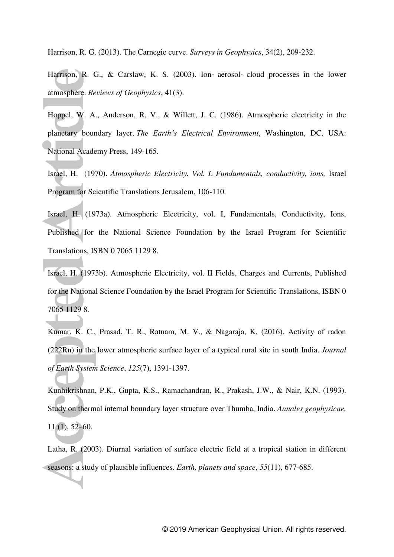Harrison, R. G. (2013). The Carnegie curve. *Surveys in Geophysics*, 34(2), 209-232.

Harrison, R. G., & Carslaw, K. S. (2003). Ion‐ aerosol‐ cloud processes in the lower atmosphere. *Reviews of Geophysics*, 41(3).

Hoppel, W. A., Anderson, R. V., & Willett, J. C. (1986). Atmospheric electricity in the planetary boundary layer. *The Earth's Electrical Environment*, Washington, DC, USA: National Academy Press, 149-165.

Israel, H. (1970). *Atmospheric Electricity. Vol. L Fundamentals, conductivity, ions,* Israel Program for Scientific Translations Jerusalem, 106-110.

Israel, H. (1973a). Atmospheric Electricity, vol. I, Fundamentals, Conductivity, Ions, Published for the National Science Foundation by the Israel Program for Scientific Translations, ISBN 0 7065 1129 8.

Israel, H. (1973b). Atmospheric Electricity, vol. II Fields, Charges and Currents, Published for the National Science Foundation by the Israel Program for Scientific Translations, ISBN 0 7065 1129 8.

Kumar, K. C., Prasad, T. R., Ratnam, M. V., & Nagaraja, K. (2016). Activity of radon (222Rn) in the lower atmospheric surface layer of a typical rural site in south India. *Journal of Earth System Science*, *125*(7), 1391-1397.

Kunhikrishnan, P.K., Gupta, K.S., Ramachandran, R., Prakash, J.W., & Nair, K.N. (1993). Study on thermal internal boundary layer structure over Thumba, India. *Annales geophysicae,* 11 (1), 52–60.

Latha, R. (2003). Diurnal variation of surface electric field at a tropical station in different seasons: a study of plausible influences. *Earth, planets and space*, *55*(11), 677-685.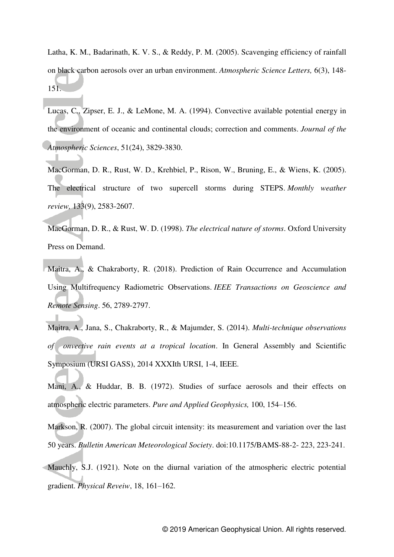Latha, K. M., Badarinath, K. V. S., & Reddy, P. M. (2005). Scavenging efficiency of rainfall on black carbon aerosols over an urban environment. *Atmospheric Science Letters,* 6(3), 148- 151.

Lucas, C., Zipser, E. J., & LeMone, M. A. (1994). Convective available potential energy in the environment of oceanic and continental clouds; correction and comments. *Journal of the Atmospheric Sciences*, 51(24), 3829-3830.

MacGorman, D. R., Rust, W. D., Krehbiel, P., Rison, W., Bruning, E., & Wiens, K. (2005). The electrical structure of two supercell storms during STEPS. *Monthly weather review,* 133(9), 2583-2607.

MacGorman, D. R., & Rust, W. D. (1998). *The electrical nature of storms*. Oxford University Press on Demand.

Maitra, A., & Chakraborty, R. (2018). Prediction of Rain Occurrence and Accumulation Using Multifrequency Radiometric Observations. *IEEE Transactions on Geoscience and Remote Sensing*. 56, 2789-2797.

Maitra, A., Jana, S., Chakraborty, R., & Majumder, S. (2014). *Multi-technique observations of onvective rain events at a tropical location*. In General Assembly and Scientific Symposium (URSI GASS), 2014 XXXIth URSI, 1-4, IEEE.

Mani, A., & Huddar, B. B. (1972). Studies of surface aerosols and their effects on atmospheric electric parameters. *Pure and Applied Geophysics,* 100, 154–156.

Markson, R. (2007). The global circuit intensity: its measurement and variation over the last 50 years. *Bulletin American Meteorological Society*. doi:10.1175/BAMS-88-2- 223, 223-241.

Mauchly, S.J. (1921). Note on the diurnal variation of the atmospheric electric potential gradient. *Physical Reveiw*, 18, 161–162.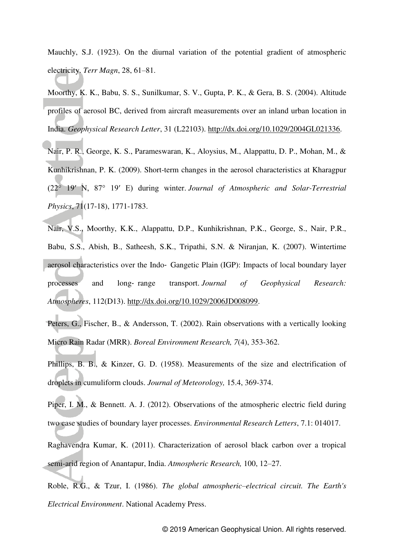Mauchly, S.J. (1923). On the diurnal variation of the potential gradient of atmospheric electricity. *Terr Magn*, 28, 61–81.

Moorthy, K. K., Babu, S. S., Sunilkumar, S. V., Gupta, P. K., & Gera, B. S. (2004). Altitude profiles of aerosol BC, derived from aircraft measurements over an inland urban location in India. *Geophysical Research Letter*, 31 (L22103). [http://dx.doi.org/10.1029/2004GL021336.](http://dx.doi.org/10.1029/2004GL021336)

Nair, P. R., George, K. S., Parameswaran, K., Aloysius, M., Alappattu, D. P., Mohan, M., & Kunhikrishnan, P. K. (2009). Short-term changes in the aerosol characteristics at Kharagpur (22° 19′ N, 87° 19′ E) during winter. *Journal of Atmospheric and Solar-Terrestrial Physics*, 71(17-18), 1771-1783.

Nair, V.S., Moorthy, K.K., Alappattu, D.P., Kunhikrishnan, P.K., George, S., Nair, P.R., Babu, S.S., Abish, B., Satheesh, S.K., Tripathi, S.N. & Niranjan, K. (2007). Wintertime aerosol characteristics over the Indo‐ Gangetic Plain (IGP): Impacts of local boundary layer processes and long‐ range transport. *Journal of Geophysical Research: Atmospheres*, 112(D13). [http://dx.doi.org/10.1029/2006JD008099.](http://dx.doi.org/10.1029/2006JD008099)

Peters, G., Fischer, B., & Andersson, T. (2002). Rain observations with a vertically looking Micro Rain Radar (MRR). *Boreal Environment Research, 7*(4), 353-362.

Phillips, B. B., & Kinzer, G. D. (1958). Measurements of the size and electrification of droplets in cumuliform clouds. *Journal of Meteorology,* 15.4, 369-374.

Piper, I. M., & Bennett. A. J. (2012). Observations of the atmospheric electric field during two case studies of boundary layer processes. *Environmental Research Letters*, 7.1: 014017.

Raghavendra Kumar, K. (2011). Characterization of aerosol black carbon over a tropical semi-arid region of Anantapur, India. *Atmospheric Research,* 100, 12–27.

Roble, R.G., & Tzur, I. (1986). *The global atmospheric–electrical circuit. The Earth's Electrical Environment*. National Academy Press.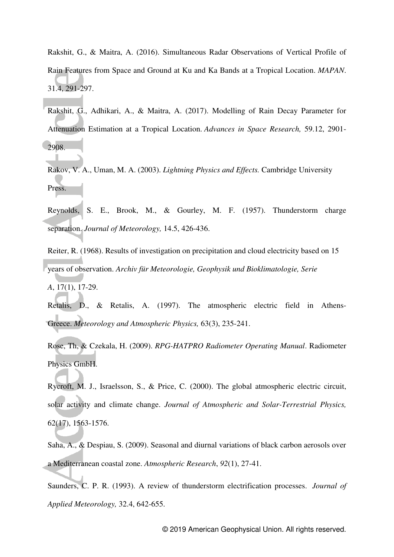Rakshit, G., & Maitra, A. (2016). Simultaneous Radar Observations of Vertical Profile of Rain Features from Space and Ground at Ku and Ka Bands at a Tropical Location. *MAPAN*. 31.4, 291-297.

Rakshit, G., Adhikari, A., & Maitra, A. (2017). Modelling of Rain Decay Parameter for Attenuation Estimation at a Tropical Location. *Advances in Space Research,* 59.12, 2901- 2908.

Rakov, V. A., Uman, M. A. (2003). *Lightning Physics and Effects.* Cambridge University Press.

Reynolds, S. E., Brook, M., & Gourley, M. F. (1957). Thunderstorm charge separation. *Journal of Meteorology,* 14.5, 426-436.

Reiter, R. (1968). Results of investigation on precipitation and cloud electricity based on 15 years of observation. *Archiv für Meteorologie, Geophysik und Bioklimatologie, Serie* 

*A*, 17(1), 17-29.

Retalis, D., & Retalis, A. (1997). The atmospheric electric field in Athens-Greece. *Meteorology and Atmospheric Physics,* 63(3), 235-241.

Rose, Th, & Czekala, H. (2009). *RPG-HATPRO Radiometer Operating Manual*. Radiometer Physics GmbH.

Rycroft, M. J., Israelsson, S., & Price, C. (2000). The global atmospheric electric circuit, solar activity and climate change. *Journal of Atmospheric and Solar-Terrestrial Physics,* 62(17), 1563-1576.

Saha, A., & Despiau, S. (2009). Seasonal and diurnal variations of black carbon aerosols over a Mediterranean coastal zone. *Atmospheric Research*, *92*(1), 27-41.

Saunders, C. P. R. (1993). A review of thunderstorm electrification processes. *Journal of Applied Meteorology,* 32.4, 642-655.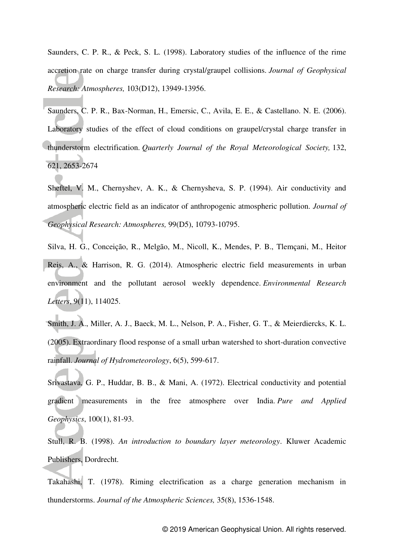Saunders, C. P. R., & Peck, S. L. (1998). Laboratory studies of the influence of the rime accretion rate on charge transfer during crystal/graupel collisions. *Journal of Geophysical Research: Atmospheres,* 103(D12), 13949-13956.

Saunders, C. P. R., Bax-Norman, H., Emersic, C., Avila, E. E., & Castellano. N. E. (2006). Laboratory studies of the effect of cloud conditions on graupel/crystal charge transfer in thunderstorm electrification. *Quarterly Journal of the Royal Meteorological Society,* 132, 621, 2653-2674

Sheftel, V. M., Chernyshev, A. K., & Chernysheva, S. P. (1994). Air conductivity and atmospheric electric field as an indicator of anthropogenic atmospheric pollution. *Journal of Geophysical Research: Atmospheres,* 99(D5), 10793-10795.

Silva, H. G., Conceição, R., Melgão, M., Nicoll, K., Mendes, P. B., Tlemçani, M., Heitor Reis, A., & Harrison, R. G. (2014). Atmospheric electric field measurements in urban environment and the pollutant aerosol weekly dependence. *Environmental Research Letters*, 9(11), 114025.

Smith, J. A., Miller, A. J., Baeck, M. L., Nelson, P. A., Fisher, G. T., & Meierdiercks, K. L. (2005). Extraordinary flood response of a small urban watershed to short-duration convective rainfall. *Journal of Hydrometeorology*, 6(5), 599-617.

Srivastava, G. P., Huddar, B. B., & Mani, A. (1972). Electrical conductivity and potential gradient measurements in the free atmosphere over India. *Pure and Applied Geophysics*, 100(1), 81-93.

Stull, R. B. (1998). *An introduction to boundary layer meteorology*. Kluwer Academic Publishers, Dordrecht.

Takahashi, T. (1978). Riming electrification as a charge generation mechanism in thunderstorms. *Journal of the Atmospheric Sciences,* 35(8), 1536-1548.